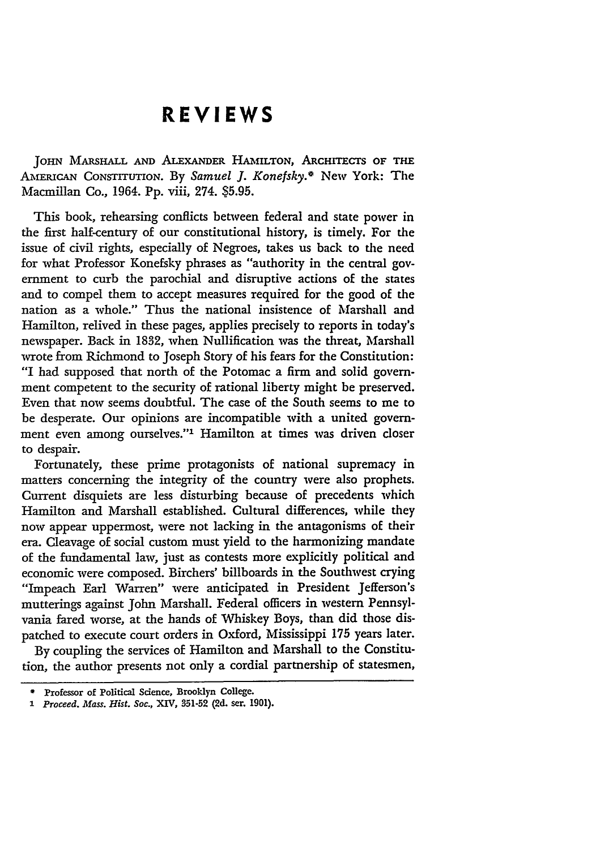## **REVIEWS**

JOHN MARSHALL AND ALEXANDER HAMILTON, ARCHITECTS OF THE AMERICAN CONSTITUTION. By Samuel J. Konefsky.<sup>\*</sup> New York: The Macmillan Co., 1964. Pp. viii, 274. **\$5.95.**

This book, rehearsing conflicts between federal and state power in the first half-century of our constitutional history, is timely. For the issue of civil rights, especially of Negroes, takes us back to the need for what Professor Konefsky phrases as "authority in the central government to curb the parochial and disruptive actions of the states and to compel them to accept measures required for the good of the nation as a whole." Thus the national insistence of Marshall and Hamilton, relived in these pages, applies precisely to reports in today's newspaper. Back in 1832, when Nullification was the threat, Marshall wrote from Richmond to Joseph Story of his fears for the Constitution: "I had supposed that north of the Potomac a firm and solid government competent to the security of rational liberty might be preserved. Even that now seems doubtful. The case of the South seems to me to be desperate. Our opinions are incompatible with a united government even among ourselves."' Hamilton at times was driven closer to despair.

Fortunately, these prime protagonists of national supremacy in matters concerning the integrity of the country were also prophets. Current disquiets are less disturbing because of precedents which Hamilton and Marshall established. Cultural differences, while they now appear uppermost, were not lacking in the antagonisms of their era. Cleavage of social custom must yield to the harmonizing mandate of the fundamental law, just as contests more explicitly political and economic were composed. Birchers' billboards in the Southwest crying "Impeach Earl Warren" were anticipated in President Jefferson's mutterings against John Marshall. Federal officers in western Pennsylvania fared worse, at the hands of Whiskey Boys, than did those dispatched to execute court orders in Oxford, Mississippi **175** years later.

By coupling the services of Hamilton and Marshall to the Constitution, the author presents not only a cordial partnership of statesmen,

<sup>\*</sup> Professor of Political Science, Brooklyn College.

**<sup>1</sup>** *Proceed. Mass. Hist. Soc.,* XIV, 351-52 **(2d.** ser. **1901).**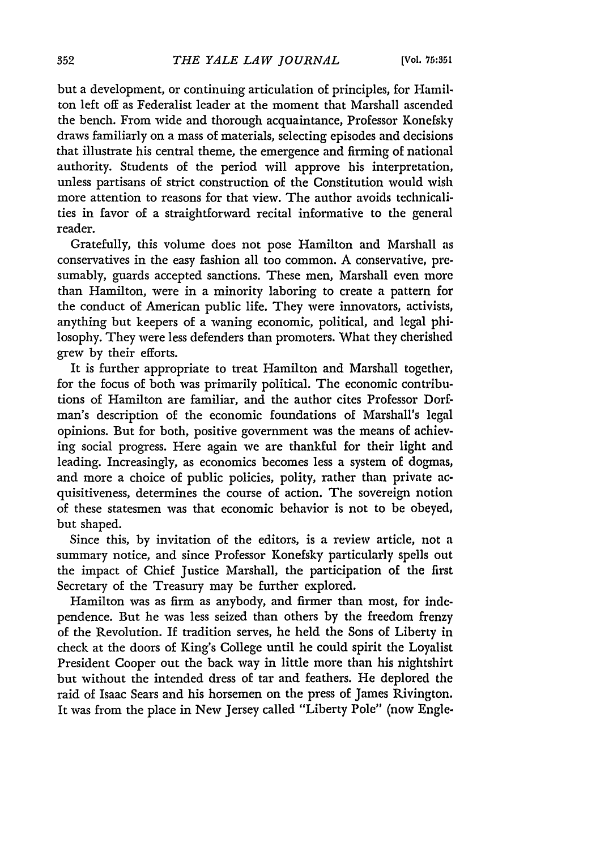but a development, or continuing articulation of principles, for Hamilton left off as Federalist leader at the moment that Marshall ascended the bench. From wide and thorough acquaintance, Professor Konefsky draws familiarly on a mass of materials, selecting episodes and decisions that illustrate his central theme, the emergence and firming of national authority. Students of the period will approve his interpretation, unless partisans of strict construction of the Constitution would wish more attention to reasons for that view. The author avoids technicalities in favor of a straightforward recital informative to the general reader.

Gratefully, this volume does not pose Hamilton and Marshall as conservatives in the easy fashion all too common. A conservative, presumably, guards accepted sanctions. These men, Marshall even more than Hamilton, were in a minority laboring to create a pattern for the conduct of American public life. They were innovators, activists, anything but keepers of a waning economic, political, and legal philosophy. They were less defenders than promoters. What they cherished grew by their efforts.

It is further appropriate to treat Hamilton and Marshall together, for the focus of both was primarily political. The economic contributions of Hamilton are familiar, and the author cites Professor Dorfman's description of the economic foundations of Marshall's legal opinions. But for both, positive government was the means of achieving social progress. Here again we are thankful for their light and leading. Increasingly, as economics becomes less a system of dogmas, and more a choice of public policies, polity, rather than private acquisitiveness, determines the course of action. The sovereign notion of these statesmen was that economic behavior is not to be obeyed, but shaped.

Since this, by invitation of the editors, is a review article, not a summary notice, and since Professor Konefsky particularly spells out the impact of Chief Justice Marshall, the participation of the first Secretary of the Treasury may be further explored.

Hamilton was as firm as anybody, and firmer than most, for independence. But he was less seized than others by the freedom frenzy of the Revolution. If tradition serves, he held the Sons of Liberty in check at the doors of King's College until he could spirit the Loyalist President Cooper out the back way in little more than his nightshirt but without the intended dress of tar and feathers. He deplored the raid of Isaac Sears and his horsemen on the press of James Rivington. It was from the place in New Jersey called "Liberty Pole" (now Engle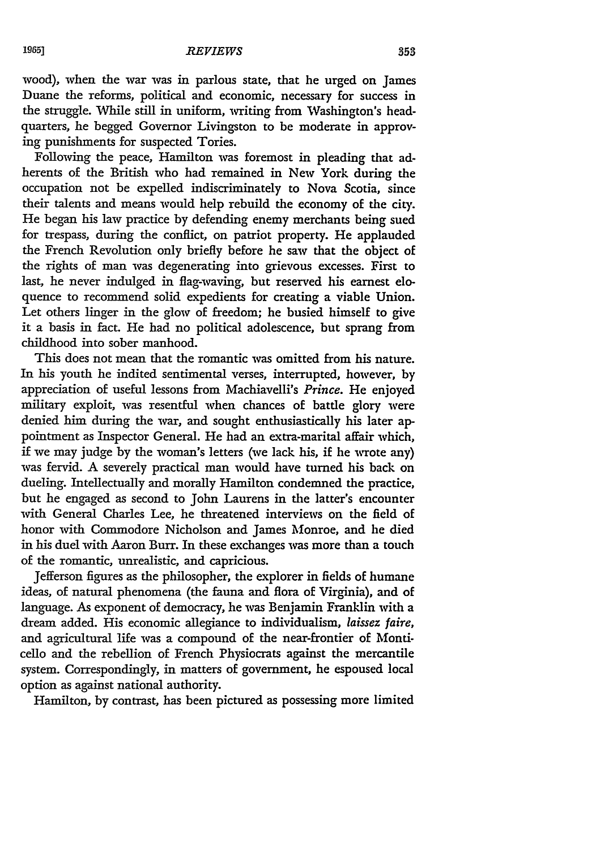wood), when the war was in parlous state, that he urged on James Duane the reforms, political and economic, necessary for success in the struggle. While still in uniform, writing from Washington's headquarters, he begged Governor Livingston to be moderate in approving punishments for suspected Tories.

Following the peace, Hamilton was foremost in pleading that adherents of the British who had remained in New York during the occupation not be expelled indiscriminately to Nova Scotia, since their talents and means would help rebuild the economy of the city. He began his law practice by defending enemy merchants being sued for trespass, during the conflict, on patriot property. He applauded the French Revolution only briefly before he saw that the object of the rights of man was degenerating into grievous excesses. First to last, he never indulged in flag-waving, but reserved his earnest eloquence to recommend solid expedients for creating a viable Union. Let others linger in the glow of freedom; he busied himself to give it a basis in fact. He had no political adolescence, but sprang from childhood into sober manhood.

This does not mean that the romantic was omitted from his nature. In his youth he indited sentimental verses, interrupted, however, by appreciation of useful lessons from Machiavelli's *Prince.* He enjoyed military exploit, was resentful when chances of battle glory were denied him during the war, and sought enthusiastically his later appointment as Inspector General. He had an extra-marital affair which, if we may judge by the woman's letters (we lack his, if he wrote any) was fervid. A severely practical man would have turned his back on dueling. Intellectually and morally Hamilton condemned the practice, but he engaged as second to John Laurens in the latter's encounter with General Charles Lee, he threatened interviews on the field of honor with Commodore Nicholson and James Monroe, and he died in his duel with Aaron Burr. In these exchanges was more than a touch of the romantic, unrealistic, and capricious.

Jefferson figures as the philosopher, the explorer in fields of humane ideas, of natural phenomena (the fauna and flora of Virginia), and of language. As exponent of democracy, he was Benjamin Franklin with a dream added. His economic allegiance to individualism, *laissez faire,* and agricultural life was a compound of the near-frontier of Monticello and the rebellion of French Physiocrats against the mercantile system. Correspondingly, in matters of government, he espoused local option as against national authority.

Hamilton, by contrast, has been pictured as possessing more limited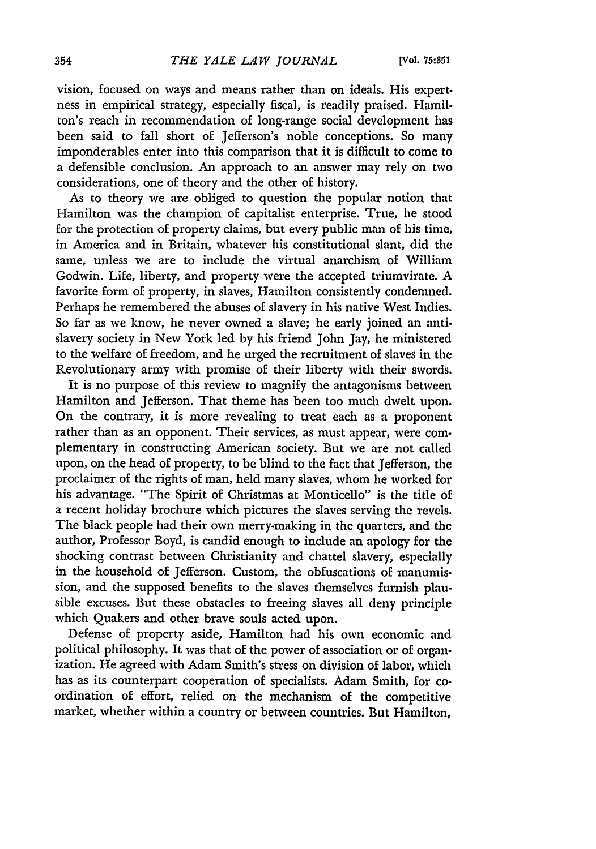vision, focused on ways and means rather than on ideals. His expertness in empirical strategy, especially fiscal, is readily praised. Hamilton's reach in recommendation of long-range social development has been said to fall short of Jefferson's noble conceptions. So many imponderables enter into this comparison that it is difficult to come to a defensible conclusion. An approach to an answer may rely on two considerations, one of theory and the other of history.

As to theory we are obliged to question the popular notion that Hamilton was the champion of capitalist enterprise. True, he stood for the protection of property claims, but every public man of his time, in America and in Britain, whatever his constitutional slant, did the same, unless we are to include the virtual anarchism of William Godwin. Life, liberty, and property were the accepted triumvirate. A favorite form of property, in slaves, Hamilton consistently condemned. Perhaps he remembered the abuses of slavery in his native West Indies. So far as we know, he never owned a slave; he early joined an antislavery society in New York led by his friend John Jay, he ministered to the welfare of freedom, and he urged the recruitment of slaves in the Revolutionary army with promise of their liberty with their swords.

It is no purpose of this review to magnify the antagonisms between Hamilton and Jefferson. That theme has been too much dwelt upon. On the contrary, it is more revealing to treat each as a proponent rather than as an opponent. Their services, as must appear, were complementary in constructing American society. But we are not called upon, on the head of property, to be blind to the fact that Jefferson, the proclaimer of the rights of man, held many slaves, whom he worked for his advantage. "The Spirit of Christmas at Monticello" is the title of a recent holiday brochure which pictures the slaves serving the revels. The black people had their own merry-making in the quarters, and the author, Professor Boyd, is candid enough to include an apology for the shocking contrast between Christianity and chattel slavery, especially in the household of Jefferson. Custom, the obfuscations of manumission, and the supposed benefits to the slaves themselves furnish plausible excuses. But these obstacles to freeing slaves all deny principle which Quakers and other brave souls acted upon.

Defense of property aside, Hamilton had his own economic and political philosophy. It was that of the power of association or of organization. He agreed with Adam Smith's stress on division of labor, which has as its counterpart cooperation of specialists. Adam Smith, for coordination of effort, relied on the mechanism of the competitive market, whether within a country or between countries. But Hamilton,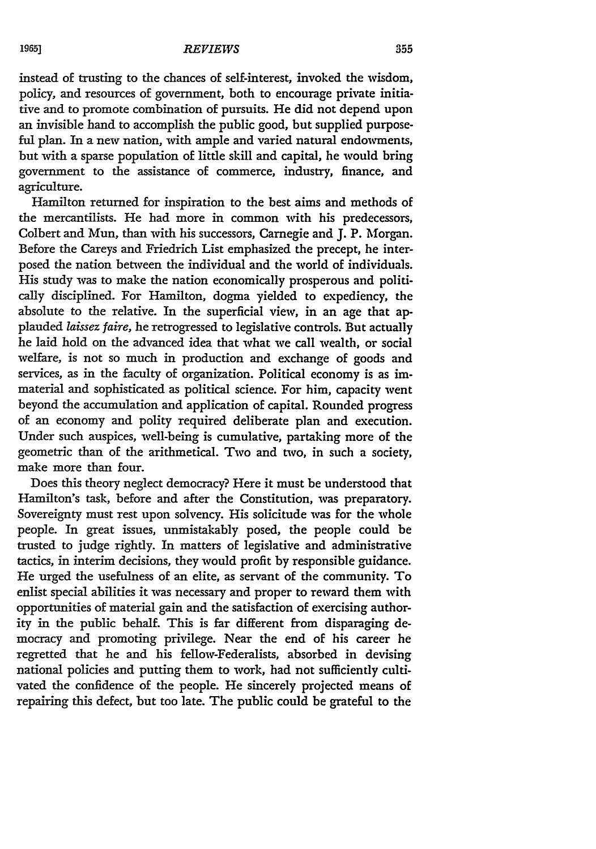1965]

instead of trusting to the chances of self-interest, invoked the wisdom, policy, and resources of government, both to encourage private initiative and to promote combination of pursuits. He did not depend upon an invisible hand to accomplish the public good, but supplied purposeful plan. In a new nation, with ample and varied natural endowments, but with a sparse population of little skill and capital, he would bring government to the assistance of commerce, industry, finance, and agriculture.

Hamilton returned for inspiration to the best aims and methods of the mercantilists. He had more in common with his predecessors, Colbert and Mun, than with his successors, Carnegie and J. P. Morgan. Before the Careys and Friedrich List emphasized the precept, he interposed the nation between the individual and the world of individuals. His study was to make the nation economically prosperous and politically disciplined. For Hamilton, dogma yielded to expediency, the absolute to the relative. In the superficial view, in an age that applauded *laissez faire,* he retrogressed to legislative controls. But actually he laid hold on the advanced idea that what we call wealth, or social welfare, is not so much in production and exchange of goods and services, as in the faculty of organization. Political economy is as immaterial and sophisticated as political science. For him, capacity went beyond the accumulation and application of capital. Rounded progress of an economy and polity required deliberate plan and execution. Under such auspices, well-being is cumulative, partaking more of the geometric than of the arithmetical. Two and two, in such a society, make more than four.

Does this theory neglect democracy? Here it must be understood that Hamilton's task, before and after the Constitution, was preparatory. Sovereignty must rest upon solvency. His solicitude was for the whole people. In great issues, unmistakably posed, the people could be trusted to judge rightly. In matters of legislative and administrative tactics, in interim decisions, they would profit by responsible guidance. He urged the usefulness of an elite, as servant of the community. To enlist special abilities it was necessary and proper to reward them with opportunities of material gain and the satisfaction of exercising authority in the public behalf. This is far different from disparaging democracy and promoting privilege. Near the end of his career he regretted that he and his fellow-Federalists, absorbed in devising national policies and putting them to work, had not sufficiently cultivated the confidence of the people. He sincerely projected means of repairing this defect, but too late. The public could be grateful to the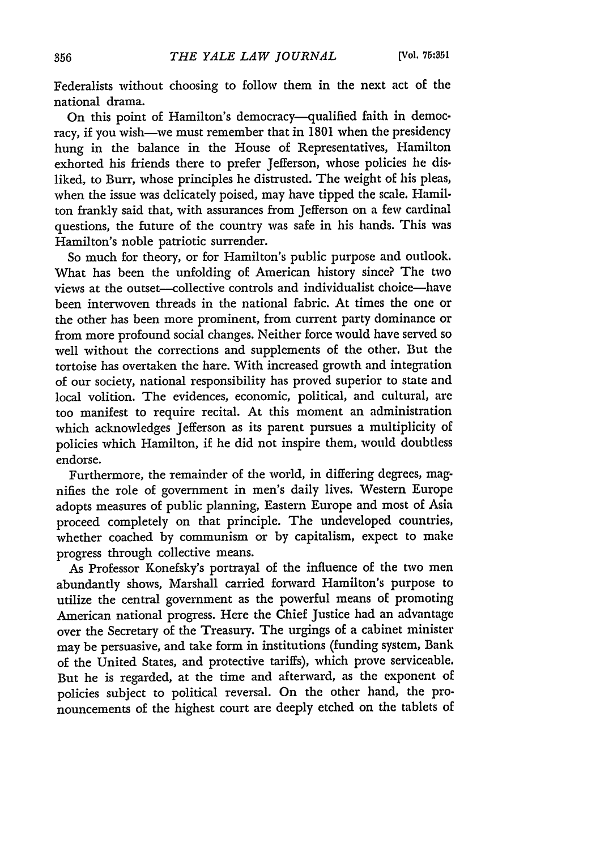Federalists without choosing to follow them in the next act of the national drama.

On this point of Hamilton's democracy-qualified faith in democracy, if you wish-we must remember that in **1801** when the presidency hung in the balance in the House of Representatives, Hamilton exhorted his friends there to prefer Jefferson, whose policies he disliked, to Burr, whose principles he distrusted. The weight of his pleas, when the issue was delicately poised, may have tipped the scale. Hamilton frankly said that, with assurances from Jefferson on a few cardinal questions, the future of the country was safe in his hands. This was Hamilton's noble patriotic surrender.

So much for theory, or for Hamilton's public purpose and outlook. What has been the unfolding of American history since? The two views at the outset-collective controls and individualist choice-have been interwoven threads in the national fabric. At times the one or the other has been more prominent, from current party dominance or from more profound social changes. Neither force would have served so well without the corrections and supplements of the other. But the tortoise has overtaken the hare. With increased growth and integration of our society, national responsibility has proved superior to state and local volition. The evidences, economic, political, and cultural, are too manifest to require recital. At this moment an administration which acknowledges Jefferson as its parent pursues a multiplicity of policies which Hamilton, if he did not inspire them, would doubtless endorse.

Furthermore, the remainder of the world, in differing degrees, magnifies the role of government in men's daily lives. Western Europe adopts measures of public planning, Eastern Europe and most of Asia proceed completely on that principle. The undeveloped countries, whether coached by communism or by capitalism, expect to make progress through collective means.

As Professor Konefsky's portrayal of the influence of the two men abundantly shows, Marshall carried forward Hamilton's purpose to utilize the central government as the powerful means of promoting American national progress. Here the Chief Justice had an advantage over the Secretary of the Treasury. The urgings of a cabinet minister may be persuasive, and take form in institutions (funding system, Bank of the United States, and protective tariffs), which prove serviceable. But he is regarded, at the time and afterward, as the exponent of policies subject to political reversal. On the other hand, the pronouncements of the highest court are deeply etched on the tablets of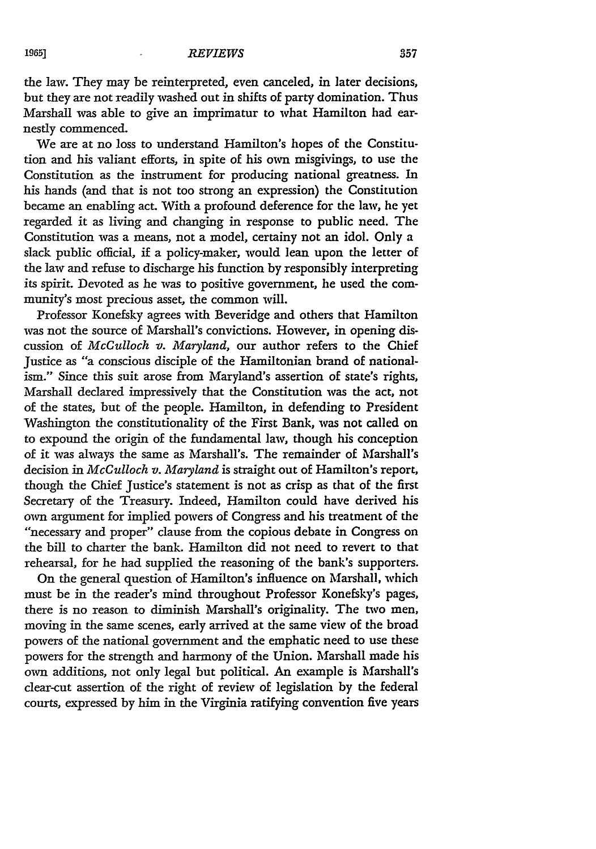the law. They may be reinterpreted, even canceled, in later decisions, but they are not readily washed out in shifts of party domination. Thus Marshall was able to give an imprimatur to what Hamilton had earnestly commenced.

We are at no loss to understand Hamilton's hopes of the Consritution and his valiant efforts, in spite of his own misgivings, to use the Constitution as the instrument for producing national greatness. In his hands (and that is not too strong an expression) the Constitution became an enabling act. With a profound deference for the law, he yet regarded it as living and changing in response to public need. The Constitution was a means, not a model, certainy not an idol. Only a slack public official, if a policy-maker, would lean upon the letter of the law and refuse to discharge his function **by** responsibly interpreting its spirit. Devoted as he was to positive government, he used the community's most precious asset, the common will.

Professor Konefsky agrees with Beveridge and others that Hamilton was not the source of Marshall's convictions. However, in opening discussion of *McCulloch v. Maryland,* our author refers to the Chief Justice as "a conscious disciple of the Hamiltonian brand of nationalism." Since this suit arose from Maryland's assertion of state's rights, Marshall declared impressively that the Constitution was the act, not of the states, but of the people. Hamilton, in defending to President Washington the constitutionality of the First Bank, was not called on to expound the origin of the fundamental law, though his conception of it was always the same as Marshall's. The remainder of Marshall's decision in *McCulloch v. Maryland* is straight out of Hamilton's report, though the Chief Justice's statement is not as crisp as that of the first Secretary of the Treasury. Indeed, Hamilton could have derived his own argument for implied powers of Congress and his treatment of the "necessary and proper" clause from the copious debate in Congress on the bill to charter the bank. Hamilton did not need to revert to that rehearsal, for he had supplied the reasoning of the bank's supporters.

On the general question of Hamilton's influence on Marshall, which must be in the reader's mind throughout Professor Konefsky's pages, there is no reason to diminish Marshall's originality. The two men, moving in the same scenes, early arrived at the same view of the broad powers of the national government and the emphatic need to use these powers for the strength and harmony of the Union. Marshall made his own additions, not only legal but political. An example is Marshall's clear-cut assertion of the right of review of legislation by the federal courts, expressed by him in the Virginia ratifying convention five years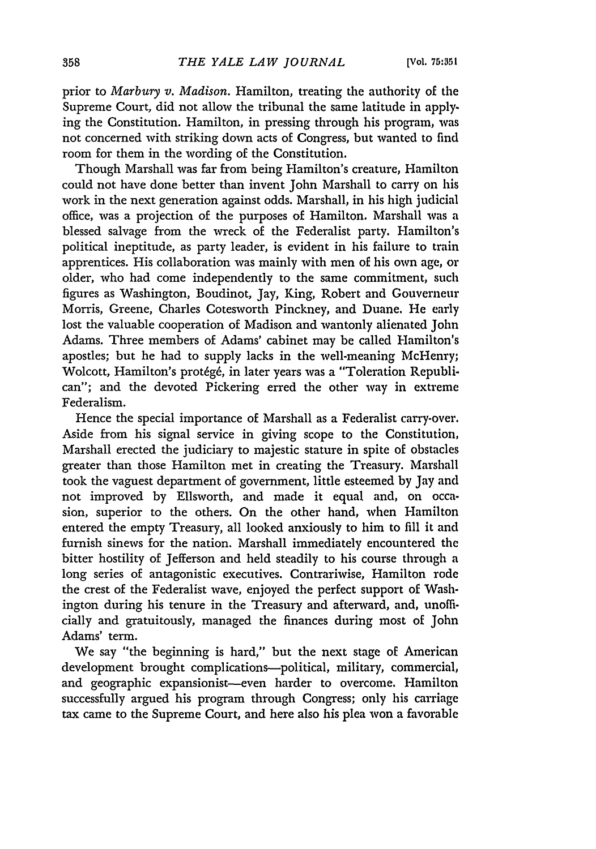prior to *Marbury v. Madison.* Hamilton, treating the authority of the Supreme Court, did not allow the tribunal the same latitude in applying the Constitution. Hamilton, in pressing through his program, was not concerned with striking down acts of Congress, but wanted to find room for them in the wording of the Constitution.

Though Marshall was far from being Hamilton's creature, Hamilton could not have done better than invent John Marshall to carry on his work in the next generation against odds. Marshall, in his high judicial office, was a projection of the purposes of Hamilton. Marshall was a blessed salvage from the wreck of the Federalist party. Hamilton's political ineptitude, as party leader, is evident in his failure to train apprentices. His collaboration was mainly with men of his own age, or older, who had come independently to the same commitment, such figures as Washington, Boudinot, Jay, King, Robert and Gouverneur Morris, Greene, Charles Cotesworth Pinckney, and Duane. He early lost the valuable cooperation of Madison and wantonly alienated John Adams. Three members of Adams' cabinet may be called Hamilton's apostles; but he had to supply lacks in the well-meaning McHenry; Wolcott, Hamilton's proteg6, in later years was a "Toleration Republican"; and the devoted Pickering erred the other way in extreme Federalism.

Hence the special importance of Marshall as a Federalist carry-over. Aside from his signal service in giving scope to the Constitution, Marshall erected the judiciary to majestic stature in spite of obstacles greater than those Hamilton met in creating the Treasury. Marshall took the vaguest department of government, little esteemed by Jay and not improved by Ellsworth, and made it equal and, on occasion, superior to the others. On the other hand, when Hamilton entered the empty Treasury, all looked anxiously to him to fill it and furnish sinews for the nation. Marshall immediately encountered the bitter hostility of Jefferson and held steadily to his course through a long series of antagonistic executives. Contrariwise, Hamilton rode the crest of the Federalist wave, enjoyed the perfect support of Washington during his tenure in the Treasury and afterward, and, unofficially and gratuitously, managed the finances during most of John Adams' term.

We say "the beginning is hard," but the next stage of American development brought complications-political, military, commercial, and geographic expansionist-even harder to overcome. Hamilton successfully argued his program through Congress; only his carriage tax came to the Supreme Court, and here also his plea won a favorable